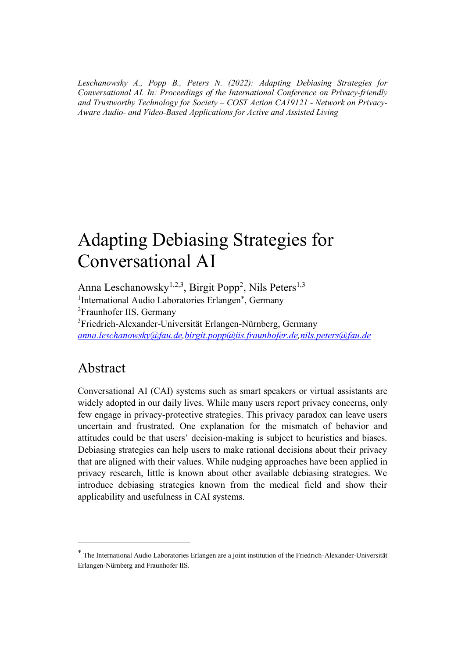*Leschanowsky A., Popp B., Peters N. (2022): Adapting Debiasing Strategies for Conversational AI. In: Proceedings of the International Conference on Privacy-friendly and Trustworthy Technology for Society – COST Action CA19121 - Network on Privacy-Aware Audio- and Video-Based Applications for Active and Assisted Living*

# Adapting Debiasing Strategies for Conversational AI

Anna Leschanowsky<sup>1,2,3</sup>, Birgit Popp<sup>2</sup>, Nils Peters<sup>1,3</sup> <sup>1</sup>International Audio Laboratories Erlangen\*, Germany <sup>2</sup>Fraunhofer IIS, Germany <sup>3</sup>Friedrich-Alexander-Universität Erlangen-Nürnberg, Germany *[anna.leschanowsky@fau.de,](mailto:anna.leschanowsky@fau.de)[birgit.popp@iis.fraunhofer.de](mailto:birgit.popp@iis.fraunhofer.de)[,nils.peters@fau.de](mailto:nils.peters@fau.de)*

#### Abstract

Conversational AI (CAI) systems such as smart speakers or virtual assistants are widely adopted in our daily lives. While many users report privacy concerns, only few engage in privacy-protective strategies. This privacy paradox can leave users uncertain and frustrated. One explanation for the mismatch of behavior and attitudes could be that users' decision-making is subject to heuristics and biases. Debiasing strategies can help users to make rational decisions about their privacy that are aligned with their values. While nudging approaches have been applied in privacy research, little is known about other available debiasing strategies. We introduce debiasing strategies known from the medical field and show their applicability and usefulness in CAI systems.

<sup>\*</sup> The International Audio Laboratories Erlangen are a joint institution of the Friedrich-Alexander-Universität Erlangen-Nürnberg and Fraunhofer IIS.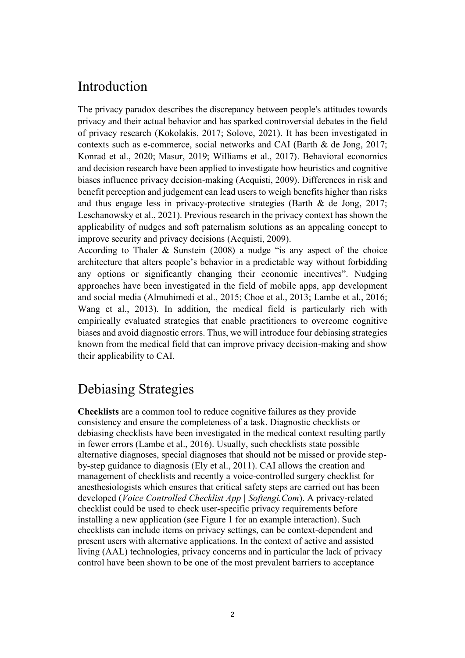### Introduction

The privacy paradox describes the discrepancy between people's attitudes towards privacy and their actual behavior and has sparked controversial debates in the field of privacy research (Kokolakis, 2017; Solove, 2021). It has been investigated in contexts such as e-commerce, social networks and CAI (Barth & de Jong, 2017; Konrad et al., 2020; Masur, 2019; Williams et al., 2017). Behavioral economics and decision research have been applied to investigate how heuristics and cognitive biases influence privacy decision-making (Acquisti, 2009). Differences in risk and benefit perception and judgement can lead users to weigh benefits higher than risks and thus engage less in privacy-protective strategies (Barth & de Jong, 2017; Leschanowsky et al., 2021). Previous research in the privacy context has shown the applicability of nudges and soft paternalism solutions as an appealing concept to improve security and privacy decisions (Acquisti, 2009).

According to Thaler & Sunstein (2008) a nudge "is any aspect of the choice architecture that alters people's behavior in a predictable way without forbidding any options or significantly changing their economic incentives". Nudging approaches have been investigated in the field of mobile apps, app development and social media (Almuhimedi et al., 2015; Choe et al., 2013; Lambe et al., 2016; Wang et al., 2013). In addition, the medical field is particularly rich with empirically evaluated strategies that enable practitioners to overcome cognitive biases and avoid diagnostic errors. Thus, we will introduce four debiasing strategies known from the medical field that can improve privacy decision-making and show their applicability to CAI.

## Debiasing Strategies

**Checklists** are a common tool to reduce cognitive failures as they provide consistency and ensure the completeness of a task. Diagnostic checklists or debiasing checklists have been investigated in the medical context resulting partly in fewer errors (Lambe et al., 2016). Usually, such checklists state possible alternative diagnoses, special diagnoses that should not be missed or provide stepby-step guidance to diagnosis (Ely et al., 2011). CAI allows the creation and management of checklists and recently a voice-controlled surgery checklist for anesthesiologists which ensures that critical safety steps are carried out has been developed (*Voice Controlled Checklist App | Softengi.Com*). A privacy-related checklist could be used to check user-specific privacy requirements before installing a new application (see Figure 1 for an example interaction). Such checklists can include items on privacy settings, can be context-dependent and present users with alternative applications. In the context of active and assisted living (AAL) technologies, privacy concerns and in particular the lack of privacy control have been shown to be one of the most prevalent barriers to acceptance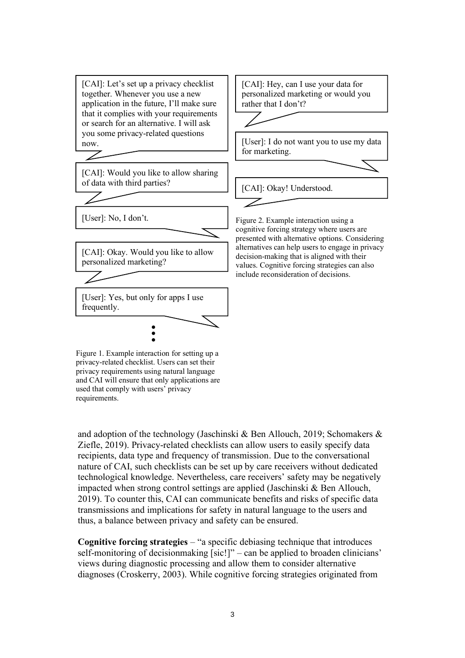

and adoption of the technology (Jaschinski & Ben Allouch, 2019; Schomakers & Ziefle, 2019). Privacy-related checklists can allow users to easily specify data recipients, data type and frequency of transmission. Due to the conversational nature of CAI, such checklists can be set up by care receivers without dedicated technological knowledge. Nevertheless, care receivers' safety may be negatively impacted when strong control settings are applied (Jaschinski & Ben Allouch, 2019). To counter this, CAI can communicate benefits and risks of specific data transmissions and implications for safety in natural language to the users and thus, a balance between privacy and safety can be ensured.

**Cognitive forcing strategies** – "a specific debiasing technique that introduces self-monitoring of decisionmaking [sic!]" – can be applied to broaden clinicians' views during diagnostic processing and allow them to consider alternative diagnoses (Croskerry, 2003). While cognitive forcing strategies originated from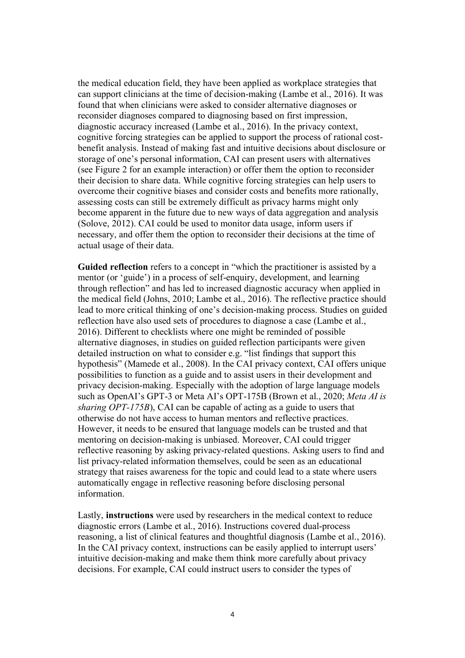the medical education field, they have been applied as workplace strategies that can support clinicians at the time of decision-making (Lambe et al., 2016). It was found that when clinicians were asked to consider alternative diagnoses or reconsider diagnoses compared to diagnosing based on first impression, diagnostic accuracy increased (Lambe et al., 2016). In the privacy context, cognitive forcing strategies can be applied to support the process of rational costbenefit analysis. Instead of making fast and intuitive decisions about disclosure or storage of one's personal information, CAI can present users with alternatives (see Figure 2 for an example interaction) or offer them the option to reconsider their decision to share data. While cognitive forcing strategies can help users to overcome their cognitive biases and consider costs and benefits more rationally, assessing costs can still be extremely difficult as privacy harms might only become apparent in the future due to new ways of data aggregation and analysis (Solove, 2012). CAI could be used to monitor data usage, inform users if necessary, and offer them the option to reconsider their decisions at the time of actual usage of their data.

Guided reflection refers to a concept in "which the practitioner is assisted by a mentor (or 'guide') in a process of self-enquiry, development, and learning through reflection" and has led to increased diagnostic accuracy when applied in the medical field (Johns, 2010; Lambe et al., 2016). The reflective practice should lead to more critical thinking of one's decision-making process. Studies on guided reflection have also used sets of procedures to diagnose a case (Lambe et al., 2016). Different to checklists where one might be reminded of possible alternative diagnoses, in studies on guided reflection participants were given detailed instruction on what to consider e.g. "list findings that support this hypothesis" (Mamede et al., 2008). In the CAI privacy context, CAI offers unique possibilities to function as a guide and to assist users in their development and privacy decision-making. Especially with the adoption of large language models such as OpenAI's GPT-3 or Meta AI's OPT-175B (Brown et al., 2020; *Meta AI is sharing OPT-175B*), CAI can be capable of acting as a guide to users that otherwise do not have access to human mentors and reflective practices. However, it needs to be ensured that language models can be trusted and that mentoring on decision-making is unbiased. Moreover, CAI could trigger reflective reasoning by asking privacy-related questions. Asking users to find and list privacy-related information themselves, could be seen as an educational strategy that raises awareness for the topic and could lead to a state where users automatically engage in reflective reasoning before disclosing personal information.

Lastly, **instructions** were used by researchers in the medical context to reduce diagnostic errors (Lambe et al., 2016). Instructions covered dual-process reasoning, a list of clinical features and thoughtful diagnosis (Lambe et al., 2016). In the CAI privacy context, instructions can be easily applied to interrupt users' intuitive decision-making and make them think more carefully about privacy decisions. For example, CAI could instruct users to consider the types of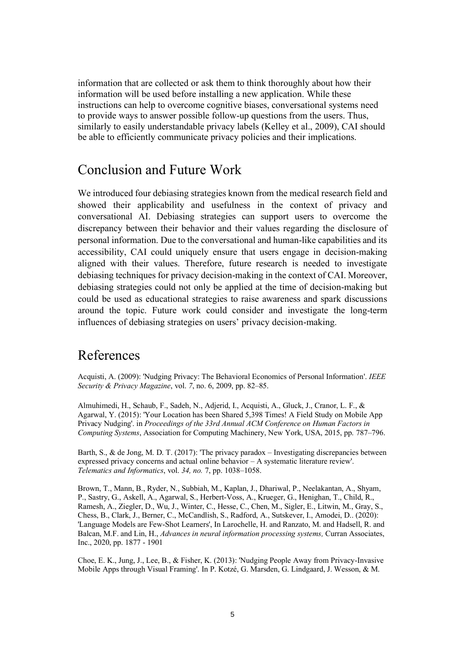information that are collected or ask them to think thoroughly about how their information will be used before installing a new application. While these instructions can help to overcome cognitive biases, conversational systems need to provide ways to answer possible follow-up questions from the users. Thus, similarly to easily understandable privacy labels (Kelley et al., 2009), CAI should be able to efficiently communicate privacy policies and their implications.

#### Conclusion and Future Work

We introduced four debiasing strategies known from the medical research field and showed their applicability and usefulness in the context of privacy and conversational AI. Debiasing strategies can support users to overcome the discrepancy between their behavior and their values regarding the disclosure of personal information. Due to the conversational and human-like capabilities and its accessibility, CAI could uniquely ensure that users engage in decision-making aligned with their values. Therefore, future research is needed to investigate debiasing techniques for privacy decision-making in the context of CAI. Moreover, debiasing strategies could not only be applied at the time of decision-making but could be used as educational strategies to raise awareness and spark discussions around the topic. Future work could consider and investigate the long-term influences of debiasing strategies on users' privacy decision-making.

## References

Acquisti, A. (2009): 'Nudging Privacy: The Behavioral Economics of Personal Information'. *IEEE Security & Privacy Magazine*, vol. *7*, no. 6, 2009, pp. 82–85.

Almuhimedi, H., Schaub, F., Sadeh, N., Adjerid, I., Acquisti, A., Gluck, J., Cranor, L. F., & Agarwal, Y. (2015): 'Your Location has been Shared 5,398 Times! A Field Study on Mobile App Privacy Nudging'. in *Proceedings of the 33rd Annual ACM Conference on Human Factors in Computing Systems*, Association for Computing Machinery, New York, USA, 2015, pp. 787–796.

Barth, S., & de Jong, M. D. T. (2017): 'The privacy paradox – Investigating discrepancies between expressed privacy concerns and actual online behavior – A systematic literature review'. *Telematics and Informatics*, vol. *34, no.* 7, pp. 1038–1058.

Brown, T., Mann, B., Ryder, N., Subbiah, M., Kaplan, J., Dhariwal, P., Neelakantan, A., Shyam, P., Sastry, G., Askell, A., Agarwal, S., Herbert-Voss, A., Krueger, G., Henighan, T., Child, R., Ramesh, A., Ziegler, D., Wu, J., Winter, C., Hesse, C., Chen, M., Sigler, E., Litwin, M., Gray, S., Chess, B., Clark, J., Berner, C., McCandlish, S., Radford, A., Sutskever, I., Amodei, D.. (2020): 'Language Models are Few-Shot Learners', In Larochelle, H. and Ranzato, M. and Hadsell, R. and Balcan, M.F. and Lin, H., *Advances in neural information processing systems,* Curran Associates, Inc., 2020, pp. 1877 - 1901

Choe, E. K., Jung, J., Lee, B., & Fisher, K. (2013): 'Nudging People Away from Privacy-Invasive Mobile Apps through Visual Framing'. In P. Kotzé, G. Marsden, G. Lindgaard, J. Wesson, & M.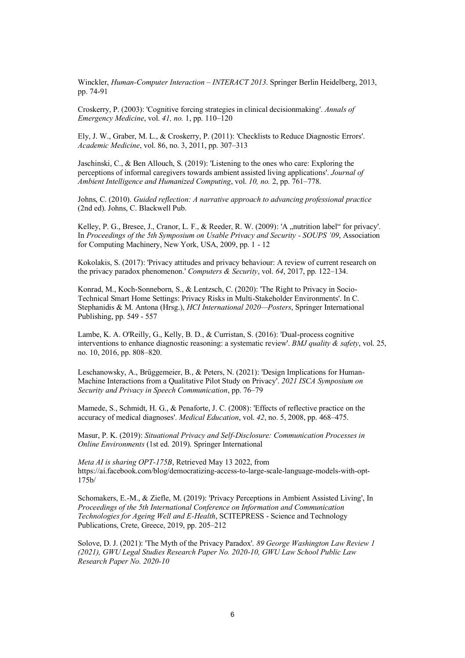Winckler, *Human-Computer Interaction – INTERACT 2013*. Springer Berlin Heidelberg, 2013, pp. 74-91

Croskerry, P. (2003): 'Cognitive forcing strategies in clinical decisionmaking'. *Annals of Emergency Medicine*, vol. *41, no.* 1, pp. 110–120

Ely, J. W., Graber, M. L., & Croskerry, P. (2011): 'Checklists to Reduce Diagnostic Errors'. *Academic Medicine*, vol. 86, no. 3, 2011, pp. 307–313

Jaschinski, C., & Ben Allouch, S. (2019): 'Listening to the ones who care: Exploring the perceptions of informal caregivers towards ambient assisted living applications'. *Journal of Ambient Intelligence and Humanized Computing*, vol. *10, no.* 2, pp. 761–778.

Johns, C. (2010). *Guided reflection: A narrative approach to advancing professional practice* (2nd ed). Johns, C. Blackwell Pub.

Kelley, P. G., Bresee, J., Cranor, L. F., & Reeder, R. W. (2009): 'A "nutrition label" for privacy'. In *Proceedings of the 5th Symposium on Usable Privacy and Security - SOUPS '09*, Association for Computing Machinery, New York, USA, 2009, pp. 1 - 12

Kokolakis, S. (2017): 'Privacy attitudes and privacy behaviour: A review of current research on the privacy paradox phenomenon.' *Computers & Security*, vol. *64*, 2017, pp. 122–134.

Konrad, M., Koch-Sonneborn, S., & Lentzsch, C. (2020): 'The Right to Privacy in Socio-Technical Smart Home Settings: Privacy Risks in Multi-Stakeholder Environments'. In C. Stephanidis & M. Antona (Hrsg.), *HCI International 2020—Posters*, Springer International Publishing, pp. 549 - 557

Lambe, K. A. O'Reilly, G., Kelly, B. D., & Curristan, S. (2016): 'Dual-process cognitive interventions to enhance diagnostic reasoning: a systematic review'. *BMJ quality & safety*, vol. 25, no. 10, 2016, pp. 808–820.

Leschanowsky, A., Brüggemeier, B., & Peters, N. (2021): 'Design Implications for Human-Machine Interactions from a Qualitative Pilot Study on Privacy'. *2021 ISCA Symposium on Security and Privacy in Speech Communication*, pp. 76–79

Mamede, S., Schmidt, H. G., & Penaforte, J. C. (2008): 'Effects of reflective practice on the accuracy of medical diagnoses'. *Medical Education*, vol. *42*, no. 5, 2008, pp. 468–475.

Masur, P. K. (2019): *Situational Privacy and Self-Disclosure: Communication Processes in Online Environments* (1st ed. 2019). Springer International

*Meta AI is sharing OPT-175B*, Retrieved May 13 2022, from https://ai.facebook.com/blog/democratizing-access-to-large-scale-language-models-with-opt-175b/

Schomakers, E.-M., & Ziefle, M. (2019): 'Privacy Perceptions in Ambient Assisted Living', In *Proceedings of the 5th International Conference on Information and Communication Technologies for Ageing Well and E-Health*, SCITEPRESS - Science and Technology Publications, Crete, Greece, 2019, pp. 205–212

Solove, D. J. (2021): 'The Myth of the Privacy Paradox'. *89 George Washington Law Review 1 (2021), GWU Legal Studies Research Paper No. 2020-10, GWU Law School Public Law Research Paper No. 2020-10*